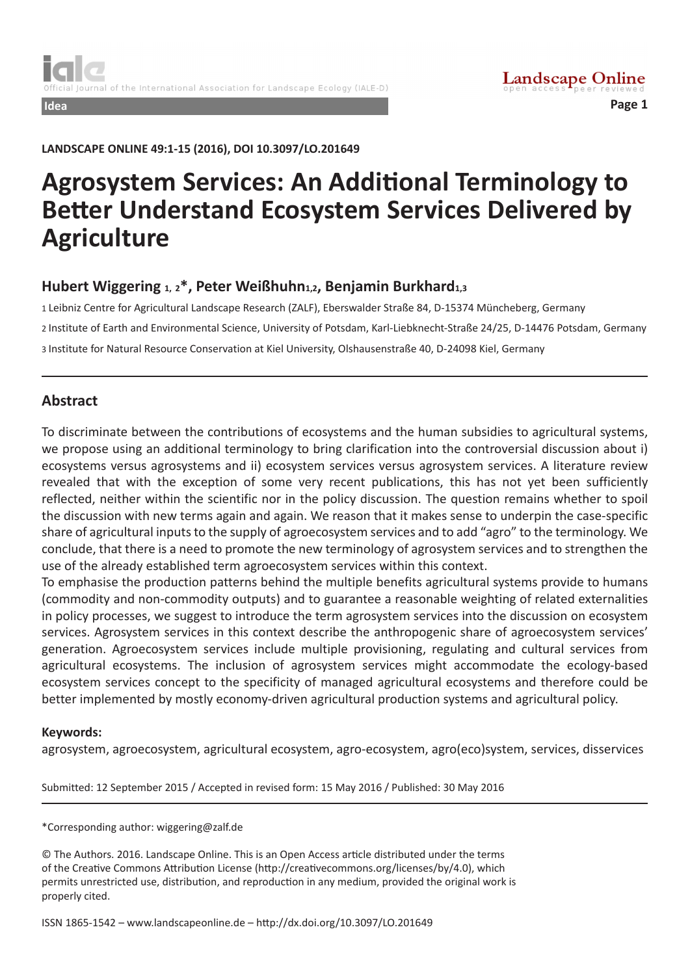**LANDSCAPE ONLINE 49:1-15 (2016), DOI 10.3097/LO.201649**

# **Agrosystem Services: An Additional Terminology to Better Understand Ecosystem Services Delivered by Agriculture**

## **Hubert Wiggering 1, 2\*, Peter Weißhuhn1,2, Benjamin Burkhard1,3**

1 Leibniz Centre for Agricultural Landscape Research (ZALF), Eberswalder Straße 84, D-15374 Müncheberg, Germany 2 Institute of Earth and Environmental Science, University of Potsdam, Karl-Liebknecht-Straße 24/25, D-14476 Potsdam, Germany 3 Institute for Natural Resource Conservation at Kiel University, Olshausenstraße 40, D-24098 Kiel, Germany

## **Abstract**

To discriminate between the contributions of ecosystems and the human subsidies to agricultural systems, we propose using an additional terminology to bring clarification into the controversial discussion about i) ecosystems versus agrosystems and ii) ecosystem services versus agrosystem services. A literature review revealed that with the exception of some very recent publications, this has not yet been sufficiently reflected, neither within the scientific nor in the policy discussion. The question remains whether to spoil the discussion with new terms again and again. We reason that it makes sense to underpin the case-specific share of agricultural inputs to the supply of agroecosystem services and to add "agro" to the terminology. We conclude, that there is a need to promote the new terminology of agrosystem services and to strengthen the use of the already established term agroecosystem services within this context.

To emphasise the production patterns behind the multiple benefits agricultural systems provide to humans (commodity and non-commodity outputs) and to guarantee a reasonable weighting of related externalities in policy processes, we suggest to introduce the term agrosystem services into the discussion on ecosystem services. Agrosystem services in this context describe the anthropogenic share of agroecosystem services' generation. Agroecosystem services include multiple provisioning, regulating and cultural services from agricultural ecosystems. The inclusion of agrosystem services might accommodate the ecology-based ecosystem services concept to the specificity of managed agricultural ecosystems and therefore could be better implemented by mostly economy-driven agricultural production systems and agricultural policy.

#### **Keywords:**

agrosystem, agroecosystem, agricultural ecosystem, agro-ecosystem, agro(eco)system, services, disservices

Submitted: 12 September 2015 / Accepted in revised form: 15 May 2016 / Published: 30 May 2016

\*Corresponding author: wiggering@zalf.de

© The Authors. 2016. Landscape Online. This is an Open Access article distributed under the terms of the Creative Commons Attribution License (http://creativecommons.org/licenses/by/4.0), which permits unrestricted use, distribution, and reproduction in any medium, provided the original work is properly cited.

ISSN 1865-1542 – www.landscapeonline.de – http://dx.doi.org/10.3097/LO.201649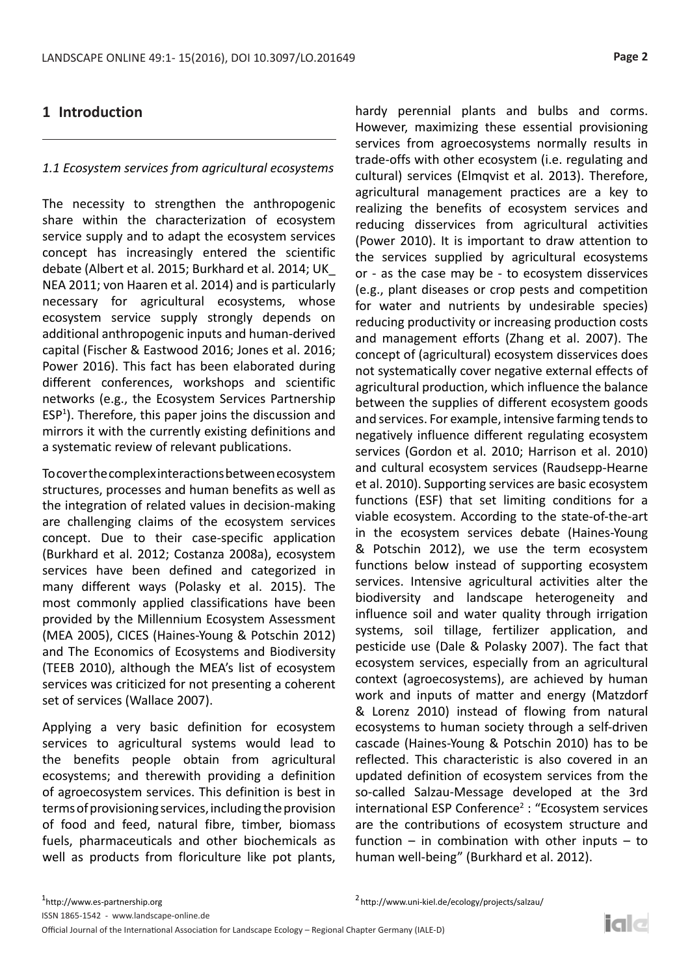# **1 Introduction**

# *1.1 Ecosystem services from agricultural ecosystems*

The necessity to strengthen the anthropogenic share within the characterization of ecosystem service supply and to adapt the ecosystem services concept has increasingly entered the scientific debate (Albert et al. 2015; Burkhard et al. 2014; UK\_ NEA 2011; von Haaren et al. 2014) and is particularly necessary for agricultural ecosystems, whose ecosystem service supply strongly depends on additional anthropogenic inputs and human-derived capital (Fischer & Eastwood 2016; Jones et al. 2016; Power 2016). This fact has been elaborated during different conferences, workshops and scientific networks (e.g., the Ecosystem Services Partnership ESP<sup>1</sup>). Therefore, this paper joins the discussion and mirrors it with the currently existing definitions and a systematic review of relevant publications.

To cover the complex interactions between ecosystem structures, processes and human benefits as well as the integration of related values in decision-making are challenging claims of the ecosystem services concept. Due to their case-specific application (Burkhard et al. 2012; Costanza 2008a), ecosystem services have been defined and categorized in many different ways (Polasky et al. 2015). The most commonly applied classifications have been provided by the Millennium Ecosystem Assessment (MEA 2005), CICES (Haines-Young & Potschin 2012) and The Economics of Ecosystems and Biodiversity (TEEB 2010), although the MEA's list of ecosystem services was criticized for not presenting a coherent set of services (Wallace 2007).

Applying a very basic definition for ecosystem services to agricultural systems would lead to the benefits people obtain from agricultural ecosystems; and therewith providing a definition of agroecosystem services. This definition is best in terms of provisioning services, including the provision of food and feed, natural fibre, timber, biomass fuels, pharmaceuticals and other biochemicals as well as products from floriculture like pot plants,

hardy perennial plants and bulbs and corms. However, maximizing these essential provisioning services from agroecosystems normally results in trade-offs with other ecosystem (i.e. regulating and cultural) services (Elmqvist et al. 2013). Therefore, agricultural management practices are a key to realizing the benefits of ecosystem services and reducing disservices from agricultural activities (Power 2010). It is important to draw attention to the services supplied by agricultural ecosystems or - as the case may be - to ecosystem disservices (e.g., plant diseases or crop pests and competition for water and nutrients by undesirable species) reducing productivity or increasing production costs and management efforts (Zhang et al. 2007). The concept of (agricultural) ecosystem disservices does not systematically cover negative external effects of agricultural production, which influence the balance between the supplies of different ecosystem goods and services. For example, intensive farming tends to negatively influence different regulating ecosystem services (Gordon et al. 2010; Harrison et al. 2010) and cultural ecosystem services (Raudsepp-Hearne et al. 2010). Supporting services are basic ecosystem functions (ESF) that set limiting conditions for a viable ecosystem. According to the state-of-the-art in the ecosystem services debate (Haines-Young & Potschin 2012), we use the term ecosystem functions below instead of supporting ecosystem services. Intensive agricultural activities alter the biodiversity and landscape heterogeneity and influence soil and water quality through irrigation systems, soil tillage, fertilizer application, and pesticide use (Dale & Polasky 2007). The fact that ecosystem services, especially from an agricultural context (agroecosystems), are achieved by human work and inputs of matter and energy (Matzdorf & Lorenz 2010) instead of flowing from natural ecosystems to human society through a self-driven cascade (Haines-Young & Potschin 2010) has to be reflected. This characteristic is also covered in an updated definition of ecosystem services from the so-called Salzau-Message developed at the 3rd international ESP Conference<sup>2</sup> : "Ecosystem services are the contributions of ecosystem structure and function – in combination with other inputs – to human well-being" (Burkhard et al. 2012).

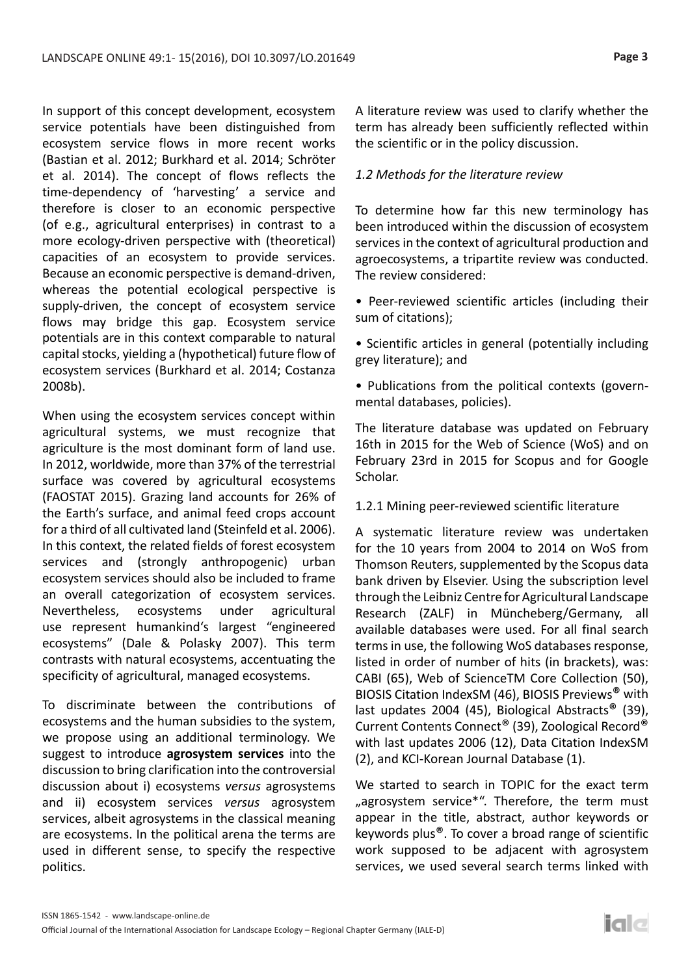In support of this concept development, ecosystem service potentials have been distinguished from ecosystem service flows in more recent works (Bastian et al. 2012; Burkhard et al. 2014; Schröter et al. 2014). The concept of flows reflects the time-dependency of 'harvesting' a service and therefore is closer to an economic perspective (of e.g., agricultural enterprises) in contrast to a more ecology-driven perspective with (theoretical) capacities of an ecosystem to provide services. Because an economic perspective is demand-driven, whereas the potential ecological perspective is supply-driven, the concept of ecosystem service flows may bridge this gap. Ecosystem service potentials are in this context comparable to natural capital stocks, yielding a (hypothetical) future flow of ecosystem services (Burkhard et al. 2014; Costanza 2008b).

When using the ecosystem services concept within agricultural systems, we must recognize that agriculture is the most dominant form of land use. In 2012, worldwide, more than 37% of the terrestrial surface was covered by agricultural ecosystems (FAOSTAT 2015). Grazing land accounts for 26% of the Earth's surface, and animal feed crops account for a third of all cultivated land (Steinfeld et al. 2006). In this context, the related fields of forest ecosystem services and (strongly anthropogenic) urban ecosystem services should also be included to frame an overall categorization of ecosystem services. Nevertheless, ecosystems under agricultural use represent humankind's largest "engineered ecosystems" (Dale & Polasky 2007). This term contrasts with natural ecosystems, accentuating the specificity of agricultural, managed ecosystems.

To discriminate between the contributions of ecosystems and the human subsidies to the system, we propose using an additional terminology. We suggest to introduce **agrosystem services** into the discussion to bring clarification into the controversial discussion about i) ecosystems *versus* agrosystems and ii) ecosystem services *versus* agrosystem services, albeit agrosystems in the classical meaning are ecosystems. In the political arena the terms are used in different sense, to specify the respective politics.

A literature review was used to clarify whether the term has already been sufficiently reflected within the scientific or in the policy discussion.

#### *1.2 Methods for the literature review*

To determine how far this new terminology has been introduced within the discussion of ecosystem services in the context of agricultural production and agroecosystems, a tripartite review was conducted. The review considered:

- Peer-reviewed scientific articles (including their sum of citations);
- Scientific articles in general (potentially including grey literature); and
- Publications from the political contexts (governmental databases, policies).

The literature database was updated on February 16th in 2015 for the Web of Science (WoS) and on February 23rd in 2015 for Scopus and for Google Scholar.

1.2.1 Mining peer-reviewed scientific literature

A systematic literature review was undertaken for the 10 years from 2004 to 2014 on WoS from Thomson Reuters, supplemented by the Scopus data bank driven by Elsevier. Using the subscription level through the Leibniz Centre for Agricultural Landscape Research (ZALF) in Müncheberg/Germany, all available databases were used. For all final search terms in use, the following WoS databases response, listed in order of number of hits (in brackets), was: CABI (65), Web of ScienceTM Core Collection (50), BIOSIS Citation IndexSM (46), BIOSIS Previews® with last updates 2004 (45), Biological Abstracts<sup>®</sup> (39), Current Contents Connect® (39), Zoological Record® with last updates 2006 (12), Data Citation IndexSM (2), and KCI-Korean Journal Database (1).

We started to search in TOPIC for the exact term "agrosystem service\*". Therefore, the term must appear in the title, abstract, author keywords or keywords plus®. To cover a broad range of scientific work supposed to be adjacent with agrosystem services, we used several search terms linked with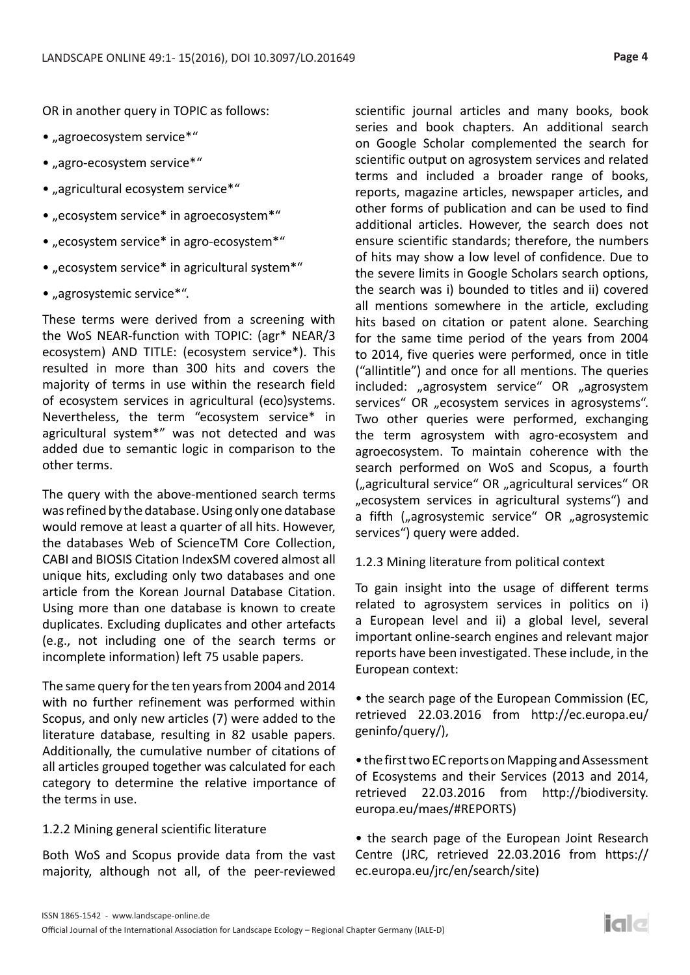OR in another query in TOPIC as follows:

- "agroecosystem service\*"
- "agro-ecosystem service\*"
- "agricultural ecosystem service\*"
- "ecosystem service\* in agroecosystem\*"
- "ecosystem service\* in agro-ecosystem\*"
- "ecosystem service\* in agricultural system\*"
- "agrosystemic service\*".

These terms were derived from a screening with the WoS NEAR-function with TOPIC: (agr\* NEAR/3 ecosystem) AND TITLE: (ecosystem service\*). This resulted in more than 300 hits and covers the majority of terms in use within the research field of ecosystem services in agricultural (eco)systems. Nevertheless, the term "ecosystem service\* in agricultural system\*" was not detected and was added due to semantic logic in comparison to the other terms.

The query with the above-mentioned search terms was refined by the database. Using only one database would remove at least a quarter of all hits. However, the databases Web of ScienceTM Core Collection, CABI and BIOSIS Citation IndexSM covered almost all unique hits, excluding only two databases and one article from the Korean Journal Database Citation. Using more than one database is known to create duplicates. Excluding duplicates and other artefacts (e.g., not including one of the search terms or incomplete information) left 75 usable papers.

The same query for the ten years from 2004 and 2014 with no further refinement was performed within Scopus, and only new articles (7) were added to the literature database, resulting in 82 usable papers. Additionally, the cumulative number of citations of all articles grouped together was calculated for each category to determine the relative importance of the terms in use.

#### 1.2.2 Mining general scientific literature

Both WoS and Scopus provide data from the vast majority, although not all, of the peer-reviewed

scientific journal articles and many books, book series and book chapters. An additional search on Google Scholar complemented the search for scientific output on agrosystem services and related terms and included a broader range of books, reports, magazine articles, newspaper articles, and other forms of publication and can be used to find additional articles. However, the search does not ensure scientific standards; therefore, the numbers of hits may show a low level of confidence. Due to the severe limits in Google Scholars search options, the search was i) bounded to titles and ii) covered all mentions somewhere in the article, excluding hits based on citation or patent alone. Searching for the same time period of the years from 2004 to 2014, five queries were performed, once in title ("allintitle") and once for all mentions. The queries included: "agrosystem service" OR "agrosystem services" OR "ecosystem services in agrosystems". Two other queries were performed, exchanging the term agrosystem with agro-ecosystem and agroecosystem. To maintain coherence with the search performed on WoS and Scopus, a fourth ("agricultural service" OR "agricultural services" OR "ecosystem services in agricultural systems") and a fifth ("agrosystemic service" OR "agrosystemic services") query were added.

#### 1.2.3 Mining literature from political context

To gain insight into the usage of different terms related to agrosystem services in politics on i) a European level and ii) a global level, several important online-search engines and relevant major reports have been investigated. These include, in the European context:

• the search page of the European Commission (EC, retrieved 22.03.2016 from http://ec.europa.eu/ geninfo/query/),

• the first two EC reports on Mapping and Assessment of Ecosystems and their Services (2013 and 2014, retrieved 22.03.2016 from http://biodiversity. europa.eu/maes/#REPORTS)

• the search page of the European Joint Research Centre (JRC, retrieved 22.03.2016 from https:// ec.europa.eu/jrc/en/search/site)

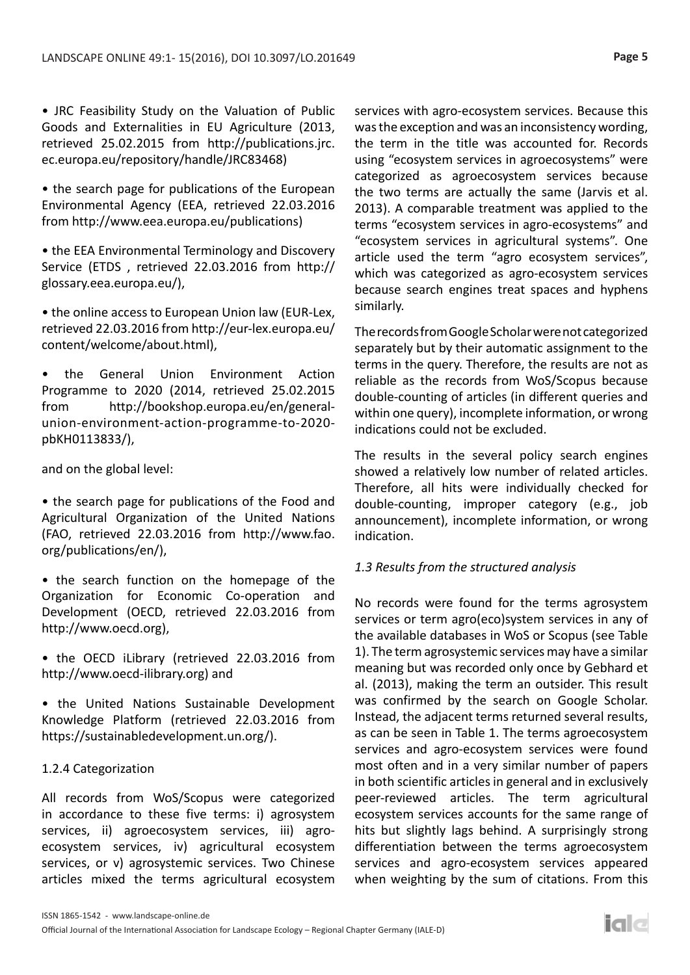• JRC Feasibility Study on the Valuation of Public Goods and Externalities in EU Agriculture (2013, retrieved 25.02.2015 from http://publications.jrc. ec.europa.eu/repository/handle/JRC83468)

• the search page for publications of the European Environmental Agency (EEA, retrieved 22.03.2016 from http://www.eea.europa.eu/publications)

• the EEA Environmental Terminology and Discovery Service (ETDS , retrieved 22.03.2016 from http:// glossary.eea.europa.eu/),

• the online access to European Union law (EUR-Lex, retrieved 22.03.2016 from http://eur-lex.europa.eu/ content/welcome/about.html),

• the General Union Environment Action Programme to 2020 (2014, retrieved 25.02.2015 from http://bookshop.europa.eu/en/generalunion-environment-action-programme-to-2020 pbKH0113833/),

and on the global level:

• the search page for publications of the Food and Agricultural Organization of the United Nations (FAO, retrieved 22.03.2016 from http://www.fao. org/publications/en/),

• the search function on the homepage of the Organization for Economic Co-operation and Development (OECD, retrieved 22.03.2016 from http://www.oecd.org),

• the OECD iLibrary (retrieved 22.03.2016 from http://www.oecd-ilibrary.org) and

• the United Nations Sustainable Development Knowledge Platform (retrieved 22.03.2016 from https://sustainabledevelopment.un.org/).

## 1.2.4 Categorization

All records from WoS/Scopus were categorized in accordance to these five terms: i) agrosystem services, ii) agroecosystem services, iii) agroecosystem services, iv) agricultural ecosystem services, or v) agrosystemic services. Two Chinese articles mixed the terms agricultural ecosystem services with agro-ecosystem services. Because this was the exception and was an inconsistency wording, the term in the title was accounted for. Records using "ecosystem services in agroecosystems" were categorized as agroecosystem services because the two terms are actually the same (Jarvis et al. 2013). A comparable treatment was applied to the terms "ecosystem services in agro-ecosystems" and "ecosystem services in agricultural systems". One article used the term "agro ecosystem services", which was categorized as agro-ecosystem services because search engines treat spaces and hyphens similarly.

The records from Google Scholar were not categorized separately but by their automatic assignment to the terms in the query. Therefore, the results are not as reliable as the records from WoS/Scopus because double-counting of articles (in different queries and within one query), incomplete information, or wrong indications could not be excluded.

The results in the several policy search engines showed a relatively low number of related articles. Therefore, all hits were individually checked for double-counting, improper category (e.g., job announcement), incomplete information, or wrong indication.

#### *1.3 Results from the structured analysis*

No records were found for the terms agrosystem services or term agro(eco)system services in any of the available databases in WoS or Scopus (see Table 1). The term agrosystemic services may have a similar meaning but was recorded only once by Gebhard et al. (2013), making the term an outsider. This result was confirmed by the search on Google Scholar. Instead, the adjacent terms returned several results, as can be seen in Table 1. The terms agroecosystem services and agro-ecosystem services were found most often and in a very similar number of papers in both scientific articles in general and in exclusively peer-reviewed articles. The term agricultural ecosystem services accounts for the same range of hits but slightly lags behind. A surprisingly strong differentiation between the terms agroecosystem services and agro-ecosystem services appeared when weighting by the sum of citations. From this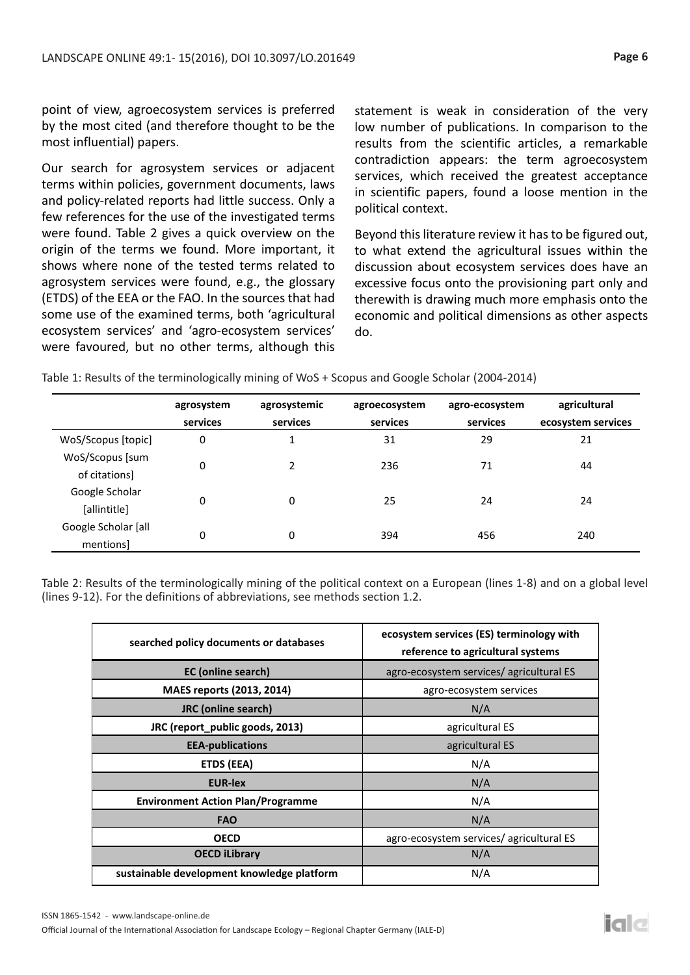point of view, agroecosystem services is preferred by the most cited (and therefore thought to be the most influential) papers.

Our search for agrosystem services or adjacent terms within policies, government documents, laws and policy-related reports had little success. Only a few references for the use of the investigated terms were found. Table 2 gives a quick overview on the origin of the terms we found. More important, it shows where none of the tested terms related to agrosystem services were found, e.g., the glossary (ETDS) of the EEA or the FAO. In the sources that had some use of the examined terms, both 'agricultural ecosystem services' and 'agro-ecosystem services' were favoured, but no other terms, although this

statement is weak in consideration of the very low number of publications. In comparison to the results from the scientific articles, a remarkable contradiction appears: the term agroecosystem services, which received the greatest acceptance in scientific papers, found a loose mention in the political context.

Beyond this literature review it has to be figured out, to what extend the agricultural issues within the discussion about ecosystem services does have an excessive focus onto the provisioning part only and therewith is drawing much more emphasis onto the economic and political dimensions as other aspects do.

|                                  | agrosystem | agrosystemic | agroecosystem | agro-ecosystem | agricultural       |
|----------------------------------|------------|--------------|---------------|----------------|--------------------|
|                                  | services   | services     | services      | services       | ecosystem services |
| WoS/Scopus [topic]               | 0          | 1            | 31            | 29             | 21                 |
| WoS/Scopus [sum<br>of citations] | 0          | 2            | 236           | 71             | 44                 |
| Google Scholar                   | 0          | 0            | 25            | 24             | 24                 |
| [allintitle]                     |            |              |               |                |                    |
| Google Scholar [all<br>mentions] | 0          | 0            | 394           | 456            | 240                |

**Table 1:** Results of the terminologically mining of WoS + Scopus and Google Scholar (2004-2014) Table 1: Results of the terminologically mining of WoS + Scopus and Google Scholar (2004-2014)

Table 2: Results of the terminologically mining of the political context on a European (lines 1-8) and on a global level (lines 9-12). For the definitions of abbreviations, see methods section 1.2.

| searched policy documents or databases     | ecosystem services (ES) terminology with<br>reference to agricultural systems |  |  |
|--------------------------------------------|-------------------------------------------------------------------------------|--|--|
| <b>EC</b> (online search)                  | agro-ecosystem services/agricultural ES                                       |  |  |
| MAES reports (2013, 2014)                  | agro-ecosystem services                                                       |  |  |
| <b>JRC</b> (online search)                 | N/A                                                                           |  |  |
| JRC (report_public goods, 2013)            | agricultural ES                                                               |  |  |
| <b>EEA-publications</b>                    | agricultural ES                                                               |  |  |
| <b>ETDS (EEA)</b>                          | N/A                                                                           |  |  |
| <b>EUR-lex</b>                             | N/A                                                                           |  |  |
| <b>Environment Action Plan/Programme</b>   | N/A                                                                           |  |  |
| <b>FAO</b>                                 | N/A                                                                           |  |  |
| <b>OECD</b>                                | agro-ecosystem services/agricultural ES                                       |  |  |
| <b>OECD iLibrary</b>                       | N/A                                                                           |  |  |
| sustainable development knowledge platform | N/A                                                                           |  |  |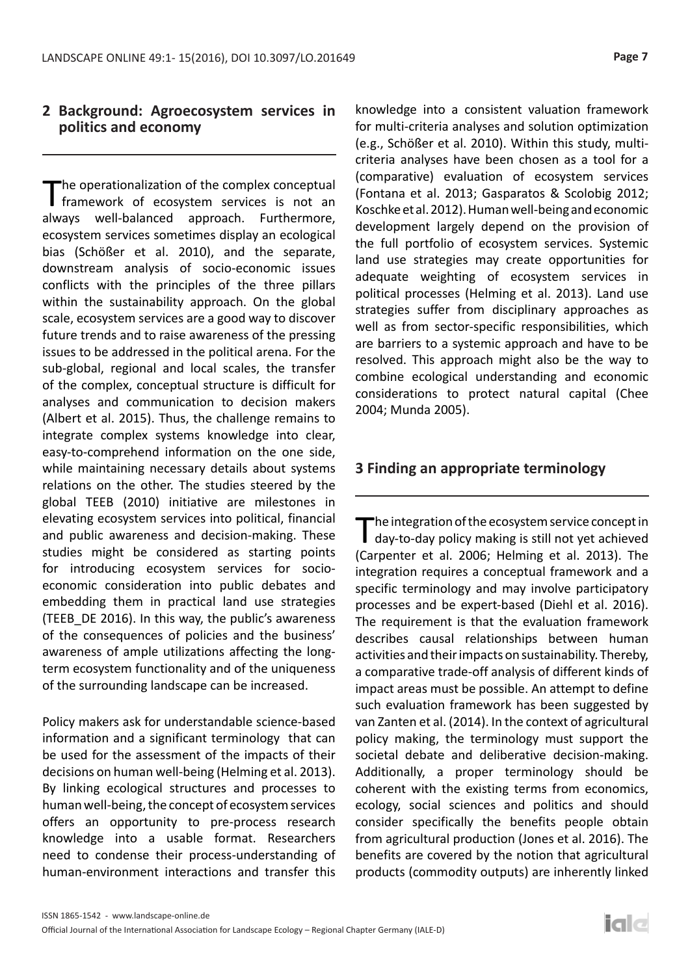# **2 Background: Agroecosystem services in politics and economy**

The operationalization of the complex conceptual<br>
framework of ecosystem services is not an always well-balanced approach. Furthermore, ecosystem services sometimes display an ecological bias (Schößer et al. 2010), and the separate, downstream analysis of socio-economic issues conflicts with the principles of the three pillars within the sustainability approach. On the global scale, ecosystem services are a good way to discover future trends and to raise awareness of the pressing issues to be addressed in the political arena. For the sub-global, regional and local scales, the transfer of the complex, conceptual structure is difficult for analyses and communication to decision makers (Albert et al. 2015). Thus, the challenge remains to integrate complex systems knowledge into clear, easy-to-comprehend information on the one side, while maintaining necessary details about systems relations on the other. The studies steered by the global TEEB (2010) initiative are milestones in elevating ecosystem services into political, financial and public awareness and decision-making. These studies might be considered as starting points for introducing ecosystem services for socioeconomic consideration into public debates and embedding them in practical land use strategies (TEEB\_DE 2016). In this way, the public's awareness of the consequences of policies and the business' awareness of ample utilizations affecting the longterm ecosystem functionality and of the uniqueness of the surrounding landscape can be increased.

Policy makers ask for understandable science-based information and a significant terminology that can be used for the assessment of the impacts of their decisions on human well-being (Helming et al. 2013). By linking ecological structures and processes to human well-being, the concept of ecosystem services offers an opportunity to pre-process research knowledge into a usable format. Researchers need to condense their process-understanding of human-environment interactions and transfer this

knowledge into a consistent valuation framework for multi-criteria analyses and solution optimization (e.g., Schößer et al. 2010). Within this study, multicriteria analyses have been chosen as a tool for a (comparative) evaluation of ecosystem services (Fontana et al. 2013; Gasparatos & Scolobig 2012; Koschke et al. 2012). Human well-being and economic development largely depend on the provision of the full portfolio of ecosystem services. Systemic land use strategies may create opportunities for adequate weighting of ecosystem services in political processes (Helming et al. 2013). Land use strategies suffer from disciplinary approaches as well as from sector-specific responsibilities, which are barriers to a systemic approach and have to be resolved. This approach might also be the way to combine ecological understanding and economic considerations to protect natural capital (Chee 2004; Munda 2005).

## **3 Finding an appropriate terminology**

The integration of the ecosystem service concept in<br>day-to-day policy making is still not yet achieved (Carpenter et al. 2006; Helming et al. 2013). The integration requires a conceptual framework and a specific terminology and may involve participatory processes and be expert-based (Diehl et al. 2016). The requirement is that the evaluation framework describes causal relationships between human activities and their impacts on sustainability. Thereby, a comparative trade-off analysis of different kinds of impact areas must be possible. An attempt to define such evaluation framework has been suggested by van Zanten et al. (2014). In the context of agricultural policy making, the terminology must support the societal debate and deliberative decision-making. Additionally, a proper terminology should be coherent with the existing terms from economics, ecology, social sciences and politics and should consider specifically the benefits people obtain from agricultural production (Jones et al. 2016). The benefits are covered by the notion that agricultural products (commodity outputs) are inherently linked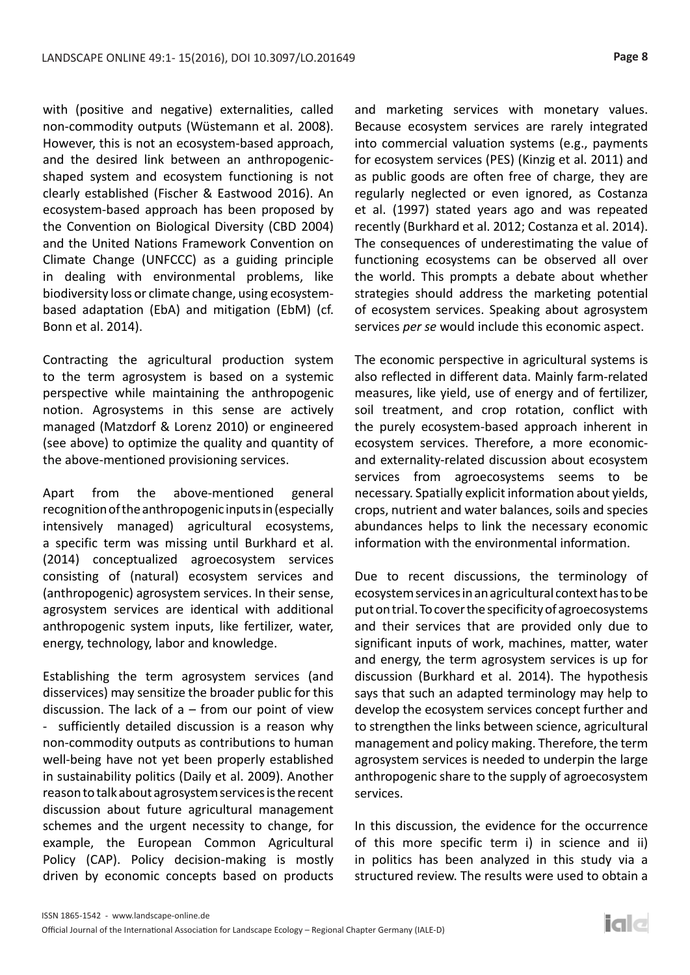with (positive and negative) externalities, called non-commodity outputs (Wüstemann et al. 2008). However, this is not an ecosystem-based approach, and the desired link between an anthropogenicshaped system and ecosystem functioning is not clearly established (Fischer & Eastwood 2016). An ecosystem-based approach has been proposed by the Convention on Biological Diversity (CBD 2004) and the United Nations Framework Convention on Climate Change (UNFCCC) as a guiding principle in dealing with environmental problems, like biodiversity loss or climate change, using ecosystembased adaptation (EbA) and mitigation (EbM) (cf. Bonn et al. 2014).

Contracting the agricultural production system to the term agrosystem is based on a systemic perspective while maintaining the anthropogenic notion. Agrosystems in this sense are actively managed (Matzdorf & Lorenz 2010) or engineered (see above) to optimize the quality and quantity of the above-mentioned provisioning services.

Apart from the above-mentioned general recognition of the anthropogenic inputs in (especially intensively managed) agricultural ecosystems, a specific term was missing until Burkhard et al. (2014) conceptualized agroecosystem services consisting of (natural) ecosystem services and (anthropogenic) agrosystem services. In their sense, agrosystem services are identical with additional anthropogenic system inputs, like fertilizer, water, energy, technology, labor and knowledge.

Establishing the term agrosystem services (and disservices) may sensitize the broader public for this discussion. The lack of  $a$  – from our point of view - sufficiently detailed discussion is a reason why non-commodity outputs as contributions to human well-being have not yet been properly established in sustainability politics (Daily et al. 2009). Another reason to talk about agrosystem services is the recent discussion about future agricultural management schemes and the urgent necessity to change, for example, the European Common Agricultural Policy (CAP). Policy decision-making is mostly driven by economic concepts based on products

and marketing services with monetary values. Because ecosystem services are rarely integrated into commercial valuation systems (e.g., payments for ecosystem services (PES) (Kinzig et al. 2011) and as public goods are often free of charge, they are regularly neglected or even ignored, as Costanza et al. (1997) stated years ago and was repeated recently (Burkhard et al. 2012; Costanza et al. 2014). The consequences of underestimating the value of functioning ecosystems can be observed all over the world. This prompts a debate about whether strategies should address the marketing potential of ecosystem services. Speaking about agrosystem services *per se* would include this economic aspect.

The economic perspective in agricultural systems is also reflected in different data. Mainly farm-related measures, like yield, use of energy and of fertilizer, soil treatment, and crop rotation, conflict with the purely ecosystem-based approach inherent in ecosystem services. Therefore, a more economicand externality-related discussion about ecosystem services from agroecosystems seems to be necessary. Spatially explicit information about yields, crops, nutrient and water balances, soils and species abundances helps to link the necessary economic information with the environmental information.

Due to recent discussions, the terminology of ecosystem services in an agricultural context has to be put on trial. To cover the specificity of agroecosystems and their services that are provided only due to significant inputs of work, machines, matter, water and energy, the term agrosystem services is up for discussion (Burkhard et al. 2014). The hypothesis says that such an adapted terminology may help to develop the ecosystem services concept further and to strengthen the links between science, agricultural management and policy making. Therefore, the term agrosystem services is needed to underpin the large anthropogenic share to the supply of agroecosystem services.

In this discussion, the evidence for the occurrence of this more specific term i) in science and ii) in politics has been analyzed in this study via a structured review. The results were used to obtain a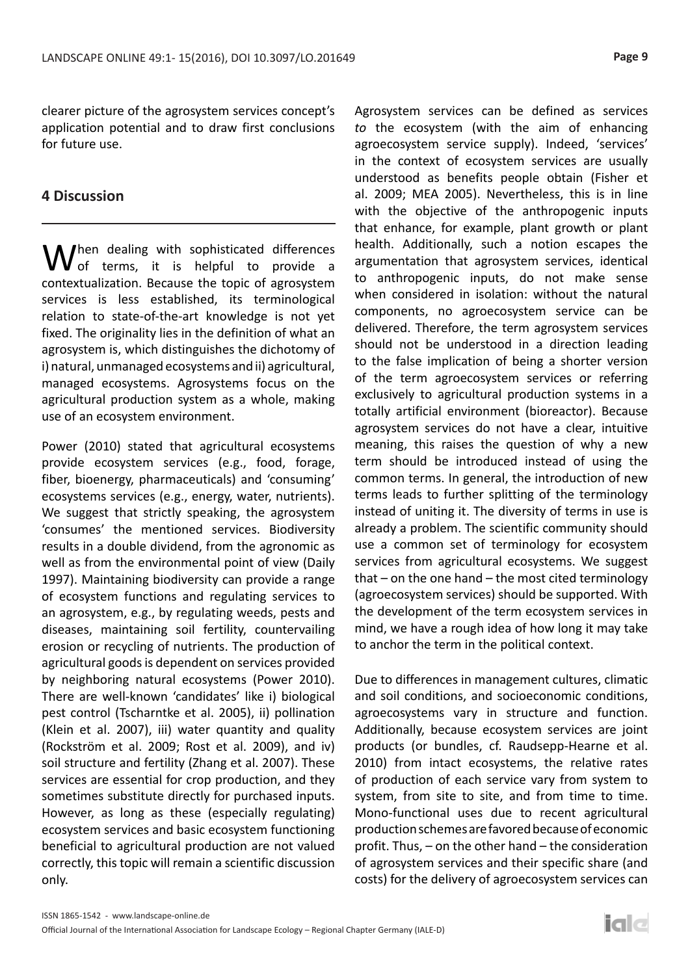clearer picture of the agrosystem services concept's application potential and to draw first conclusions for future use.

## **4 Discussion**

 $V_{\text{of}}^{\text{hen}}$  dealing with sophisticated differences of terms, it is helpful to provide a contextualization. Because the topic of agrosystem services is less established, its terminological relation to state-of-the-art knowledge is not yet fixed. The originality lies in the definition of what an agrosystem is, which distinguishes the dichotomy of i) natural, unmanaged ecosystems and ii) agricultural, managed ecosystems. Agrosystems focus on the agricultural production system as a whole, making use of an ecosystem environment.

Power (2010) stated that agricultural ecosystems provide ecosystem services (e.g., food, forage, fiber, bioenergy, pharmaceuticals) and 'consuming' ecosystems services (e.g., energy, water, nutrients). We suggest that strictly speaking, the agrosystem 'consumes' the mentioned services. Biodiversity results in a double dividend, from the agronomic as well as from the environmental point of view (Daily 1997). Maintaining biodiversity can provide a range of ecosystem functions and regulating services to an agrosystem, e.g., by regulating weeds, pests and diseases, maintaining soil fertility, countervailing erosion or recycling of nutrients. The production of agricultural goods is dependent on services provided by neighboring natural ecosystems (Power 2010). There are well-known 'candidates' like i) biological pest control (Tscharntke et al. 2005), ii) pollination (Klein et al. 2007), iii) water quantity and quality (Rockström et al. 2009; Rost et al. 2009), and iv) soil structure and fertility (Zhang et al. 2007). These services are essential for crop production, and they sometimes substitute directly for purchased inputs. However, as long as these (especially regulating) ecosystem services and basic ecosystem functioning beneficial to agricultural production are not valued correctly, this topic will remain a scientific discussion only.

Agrosystem services can be defined as services *to* the ecosystem (with the aim of enhancing agroecosystem service supply). Indeed, 'services' in the context of ecosystem services are usually understood as benefits people obtain (Fisher et al. 2009; MEA 2005). Nevertheless, this is in line with the objective of the anthropogenic inputs that enhance, for example, plant growth or plant health. Additionally, such a notion escapes the argumentation that agrosystem services, identical to anthropogenic inputs, do not make sense when considered in isolation: without the natural components, no agroecosystem service can be delivered. Therefore, the term agrosystem services should not be understood in a direction leading to the false implication of being a shorter version of the term agroecosystem services or referring exclusively to agricultural production systems in a totally artificial environment (bioreactor). Because agrosystem services do not have a clear, intuitive meaning, this raises the question of why a new term should be introduced instead of using the common terms. In general, the introduction of new terms leads to further splitting of the terminology instead of uniting it. The diversity of terms in use is already a problem. The scientific community should use a common set of terminology for ecosystem services from agricultural ecosystems. We suggest that – on the one hand – the most cited terminology (agroecosystem services) should be supported. With the development of the term ecosystem services in mind, we have a rough idea of how long it may take to anchor the term in the political context.

Due to differences in management cultures, climatic and soil conditions, and socioeconomic conditions, agroecosystems vary in structure and function. Additionally, because ecosystem services are joint products (or bundles, cf. Raudsepp-Hearne et al. 2010) from intact ecosystems, the relative rates of production of each service vary from system to system, from site to site, and from time to time. Mono-functional uses due to recent agricultural production schemes are favored because of economic profit. Thus, – on the other hand – the consideration of agrosystem services and their specific share (and costs) for the delivery of agroecosystem services can

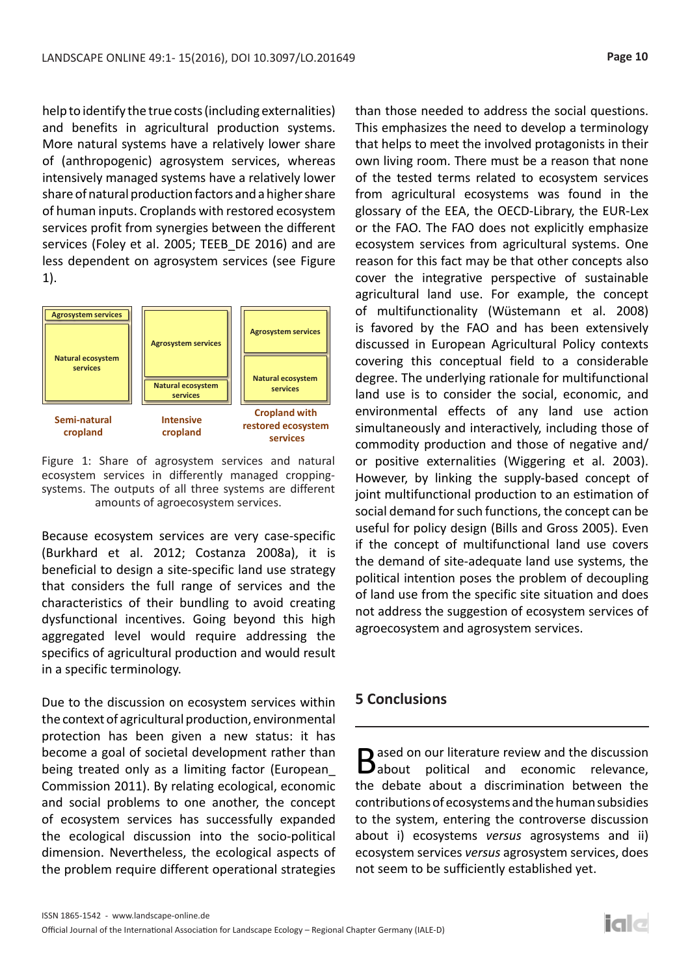help to identify the true costs (including externalities) and benefits in agricultural production systems. More natural systems have a relatively lower share of (anthropogenic) agrosystem services, whereas intensively managed systems have a relatively lower share of natural production factors and a higher share of human inputs. Croplands with restored ecosystem services profit from synergies between the different services (Foley et al. 2005; TEEB\_DE 2016) and are less dependent on agrosystem services (see Figure 1).



Figure 1: Share of agrosystem services and natural ecosystem services in differently managed croppingsystems. The outputs of all three systems are different amounts of agroecosystem services.

Because ecosystem services are very case-specific (Burkhard et al. 2012; Costanza 2008a), it is beneficial to design a site-specific land use strategy that considers the full range of services and the characteristics of their bundling to avoid creating dysfunctional incentives. Going beyond this high aggregated level would require addressing the specifics of agricultural production and would result in a specific terminology.

Due to the discussion on ecosystem services within the context of agricultural production, environmental protection has been given a new status: it has become a goal of societal development rather than being treated only as a limiting factor (European\_ Commission 2011). By relating ecological, economic and social problems to one another, the concept of ecosystem services has successfully expanded the ecological discussion into the socio-political dimension. Nevertheless, the ecological aspects of the problem require different operational strategies than those needed to address the social questions. This emphasizes the need to develop a terminology that helps to meet the involved protagonists in their own living room. There must be a reason that none of the tested terms related to ecosystem services from agricultural ecosystems was found in the glossary of the EEA, the OECD-Library, the EUR-Lex or the FAO. The FAO does not explicitly emphasize ecosystem services from agricultural systems. One reason for this fact may be that other concepts also cover the integrative perspective of sustainable agricultural land use. For example, the concept of multifunctionality (Wüstemann et al. 2008) is favored by the FAO and has been extensively discussed in European Agricultural Policy contexts covering this conceptual field to a considerable degree. The underlying rationale for multifunctional land use is to consider the social, economic, and environmental effects of any land use action simultaneously and interactively, including those of commodity production and those of negative and/ or positive externalities (Wiggering et al. 2003). However, by linking the supply-based concept of joint multifunctional production to an estimation of social demand for such functions, the concept can be useful for policy design (Bills and Gross 2005). Even if the concept of multifunctional land use covers the demand of site-adequate land use systems, the political intention poses the problem of decoupling of land use from the specific site situation and does not address the suggestion of ecosystem services of agroecosystem and agrosystem services.

## **5 Conclusions**

Based on our literature review and the discussion<br>
about political and economic relevance, the debate about a discrimination between the contributions of ecosystems and the human subsidies to the system, entering the controverse discussion about i) ecosystems *versus* agrosystems and ii) ecosystem services *versus* agrosystem services, does not seem to be sufficiently established yet.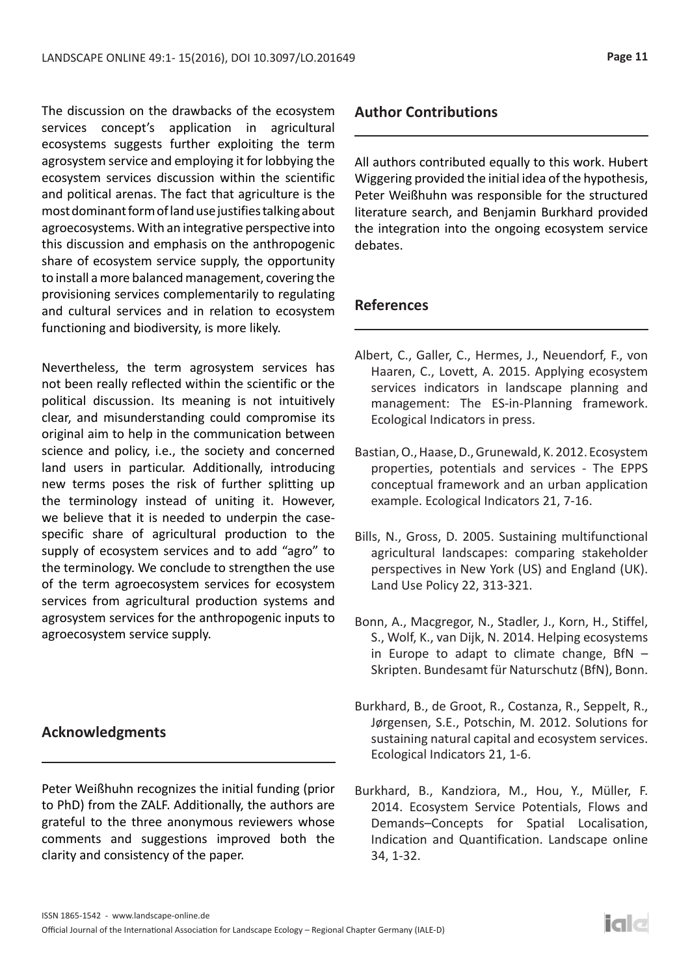The discussion on the drawbacks of the ecosystem services concept's application in agricultural ecosystems suggests further exploiting the term agrosystem service and employing it for lobbying the ecosystem services discussion within the scientific and political arenas. The fact that agriculture is the most dominant form of land use justifies talking about agroecosystems. With an integrative perspective into this discussion and emphasis on the anthropogenic share of ecosystem service supply, the opportunity to install a more balanced management, covering the provisioning services complementarily to regulating and cultural services and in relation to ecosystem functioning and biodiversity, is more likely.

Nevertheless, the term agrosystem services has not been really reflected within the scientific or the political discussion. Its meaning is not intuitively clear, and misunderstanding could compromise its original aim to help in the communication between science and policy, i.e., the society and concerned land users in particular. Additionally, introducing new terms poses the risk of further splitting up the terminology instead of uniting it. However, we believe that it is needed to underpin the casespecific share of agricultural production to the supply of ecosystem services and to add "agro" to the terminology. We conclude to strengthen the use of the term agroecosystem services for ecosystem services from agricultural production systems and agrosystem services for the anthropogenic inputs to agroecosystem service supply.

## **Acknowledgments**

Peter Weißhuhn recognizes the initial funding (prior to PhD) from the ZALF. Additionally, the authors are grateful to the three anonymous reviewers whose comments and suggestions improved both the clarity and consistency of the paper.

# **Author Contributions**

All authors contributed equally to this work. Hubert Wiggering provided the initial idea of the hypothesis, Peter Weißhuhn was responsible for the structured literature search, and Benjamin Burkhard provided the integration into the ongoing ecosystem service debates.

# **References**

- Albert, C., Galler, C., Hermes, J., Neuendorf, F., von Haaren, C., Lovett, A. 2015. Applying ecosystem services indicators in landscape planning and management: The ES-in-Planning framework. Ecological Indicators in press.
- Bastian, O., Haase, D., Grunewald, K. 2012. Ecosystem properties, potentials and services - The EPPS conceptual framework and an urban application example. Ecological Indicators 21, 7-16.
- Bills, N., Gross, D. 2005. Sustaining multifunctional agricultural landscapes: comparing stakeholder perspectives in New York (US) and England (UK). Land Use Policy 22, 313-321.
- Bonn, A., Macgregor, N., Stadler, J., Korn, H., Stiffel, S., Wolf, K., van Dijk, N. 2014. Helping ecosystems in Europe to adapt to climate change,  $BfN -$ Skripten. Bundesamt für Naturschutz (BfN), Bonn.
- Burkhard, B., de Groot, R., Costanza, R., Seppelt, R., Jørgensen, S.E., Potschin, M. 2012. Solutions for sustaining natural capital and ecosystem services. Ecological Indicators 21, 1-6.
- Burkhard, B., Kandziora, M., Hou, Y., Müller, F. 2014. Ecosystem Service Potentials, Flows and Demands–Concepts for Spatial Localisation, Indication and Quantification. Landscape online 34, 1-32.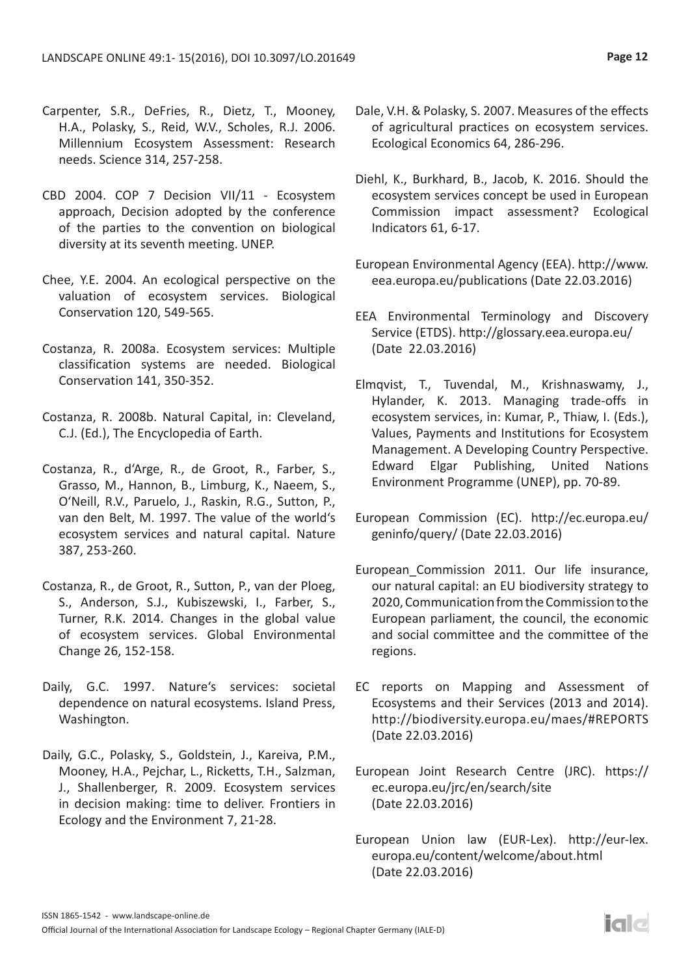- Carpenter, S.R., DeFries, R., Dietz, T., Mooney, H.A., Polasky, S., Reid, W.V., Scholes, R.J. 2006. Millennium Ecosystem Assessment: Research needs. Science 314, 257-258.
- CBD 2004. COP 7 Decision VII/11 Ecosystem approach, Decision adopted by the conference of the parties to the convention on biological diversity at its seventh meeting. UNEP.
- Chee, Y.E. 2004. An ecological perspective on the valuation of ecosystem services. Biological Conservation 120, 549-565.
- Costanza, R. 2008a. Ecosystem services: Multiple classification systems are needed. Biological Conservation 141, 350-352.
- Costanza, R. 2008b. Natural Capital, in: Cleveland, C.J. (Ed.), The Encyclopedia of Earth.
- Costanza, R., d'Arge, R., de Groot, R., Farber, S., Grasso, M., Hannon, B., Limburg, K., Naeem, S., O'Neill, R.V., Paruelo, J., Raskin, R.G., Sutton, P., van den Belt, M. 1997. The value of the world's ecosystem services and natural capital. Nature 387, 253-260.
- Costanza, R., de Groot, R., Sutton, P., van der Ploeg, S., Anderson, S.J., Kubiszewski, I., Farber, S., Turner, R.K. 2014. Changes in the global value of ecosystem services. Global Environmental Change 26, 152-158.
- Daily, G.C. 1997. Nature's services: societal dependence on natural ecosystems. Island Press, Washington.
- Daily, G.C., Polasky, S., Goldstein, J., Kareiva, P.M., Mooney, H.A., Pejchar, L., Ricketts, T.H., Salzman, J., Shallenberger, R. 2009. Ecosystem services in decision making: time to deliver. Frontiers in Ecology and the Environment 7, 21-28.
- Dale, V.H. & Polasky, S. 2007. Measures of the effects of agricultural practices on ecosystem services. Ecological Economics 64, 286-296.
- Diehl, K., Burkhard, B., Jacob, K. 2016. Should the ecosystem services concept be used in European Commission impact assessment? Ecological Indicators 61, 6-17.
- European Environmental Agency (EEA). http://www. eea.europa.eu/publications (Date 22.03.2016)
- EEA Environmental Terminology and Discovery Service (ETDS). http://glossary.eea.europa.eu/ (Date 22.03.2016)
- Elmqvist, T., Tuvendal, M., Krishnaswamy, J., Hylander, K. 2013. Managing trade-offs in ecosystem services, in: Kumar, P., Thiaw, I. (Eds.), Values, Payments and Institutions for Ecosystem Management. A Developing Country Perspective. Edward Elgar Publishing, United Nations Environment Programme (UNEP), pp. 70-89.
- European Commission (EC). http://ec.europa.eu/ geninfo/query/ (Date 22.03.2016)
- European Commission 2011. Our life insurance, our natural capital: an EU biodiversity strategy to 2020, Communication from the Commission to the European parliament, the council, the economic and social committee and the committee of the regions.
- EC reports on Mapping and Assessment of Ecosystems and their Services (2013 and 2014). http://biodiversity.europa.eu/maes/#REPORTS (Date 22.03.2016)
- European Joint Research Centre (JRC). https:// ec.europa.eu/jrc/en/search/site (Date 22.03.2016)
- European Union law (EUR-Lex). http://eur-lex. europa.eu/content/welcome/about.html (Date 22.03.2016)

iale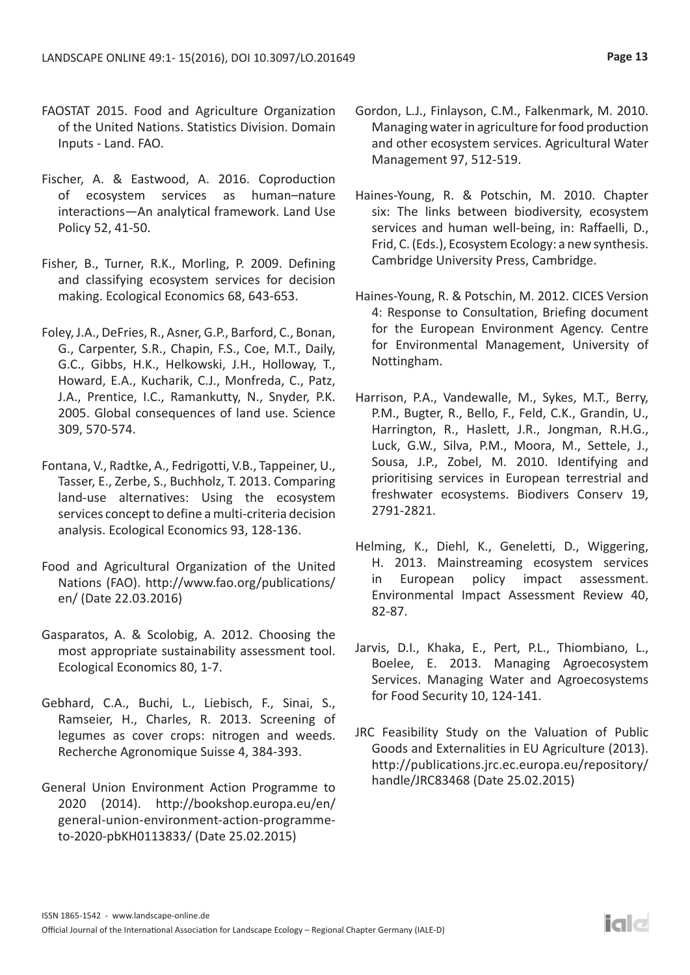- FAOSTAT 2015. Food and Agriculture Organization of the United Nations. Statistics Division. Domain Inputs - Land. FAO.
- Fischer, A. & Eastwood, A. 2016. Coproduction of ecosystem services as human–nature interactions—An analytical framework. Land Use Policy 52, 41-50.
- Fisher, B., Turner, R.K., Morling, P. 2009. Defining and classifying ecosystem services for decision making. Ecological Economics 68, 643-653.
- Foley, J.A., DeFries, R., Asner, G.P., Barford, C., Bonan, G., Carpenter, S.R., Chapin, F.S., Coe, M.T., Daily, G.C., Gibbs, H.K., Helkowski, J.H., Holloway, T., Howard, E.A., Kucharik, C.J., Monfreda, C., Patz, J.A., Prentice, I.C., Ramankutty, N., Snyder, P.K. 2005. Global consequences of land use. Science 309, 570-574.
- Fontana, V., Radtke, A., Fedrigotti, V.B., Tappeiner, U., Tasser, E., Zerbe, S., Buchholz, T. 2013. Comparing land-use alternatives: Using the ecosystem services concept to define a multi-criteria decision analysis. Ecological Economics 93, 128-136.
- Food and Agricultural Organization of the United Nations (FAO). http://www.fao.org/publications/ en/ (Date 22.03.2016)
- Gasparatos, A. & Scolobig, A. 2012. Choosing the most appropriate sustainability assessment tool. Ecological Economics 80, 1-7.
- Gebhard, C.A., Buchi, L., Liebisch, F., Sinai, S., Ramseier, H., Charles, R. 2013. Screening of legumes as cover crops: nitrogen and weeds. Recherche Agronomique Suisse 4, 384-393.
- General Union Environment Action Programme to 2020 (2014). http://bookshop.europa.eu/en/ general-union-environment-action-programmeto-2020-pbKH0113833/ (Date 25.02.2015)
- Gordon, L.J., Finlayson, C.M., Falkenmark, M. 2010. Managing water in agriculture for food production and other ecosystem services. Agricultural Water Management 97, 512-519.
- Haines-Young, R. & Potschin, M. 2010. Chapter six: The links between biodiversity, ecosystem services and human well-being, in: Raffaelli, D., Frid, C. (Eds.), Ecosystem Ecology: a new synthesis. Cambridge University Press, Cambridge.
- Haines-Young, R. & Potschin, M. 2012. CICES Version 4: Response to Consultation, Briefing document for the European Environment Agency. Centre for Environmental Management, University of Nottingham.
- Harrison, P.A., Vandewalle, M., Sykes, M.T., Berry, P.M., Bugter, R., Bello, F., Feld, C.K., Grandin, U., Harrington, R., Haslett, J.R., Jongman, R.H.G., Luck, G.W., Silva, P.M., Moora, M., Settele, J., Sousa, J.P., Zobel, M. 2010. Identifying and prioritising services in European terrestrial and freshwater ecosystems. Biodivers Conserv 19, 2791-2821.
- Helming, K., Diehl, K., Geneletti, D., Wiggering, H. 2013. Mainstreaming ecosystem services in European policy impact assessment. Environmental Impact Assessment Review 40, 82-87.
- Jarvis, D.I., Khaka, E., Pert, P.L., Thiombiano, L., Boelee, E. 2013. Managing Agroecosystem Services. Managing Water and Agroecosystems for Food Security 10, 124-141.
- JRC Feasibility Study on the Valuation of Public Goods and Externalities in EU Agriculture (2013). http://publications.jrc.ec.europa.eu/repository/ handle/JRC83468 (Date 25.02.2015)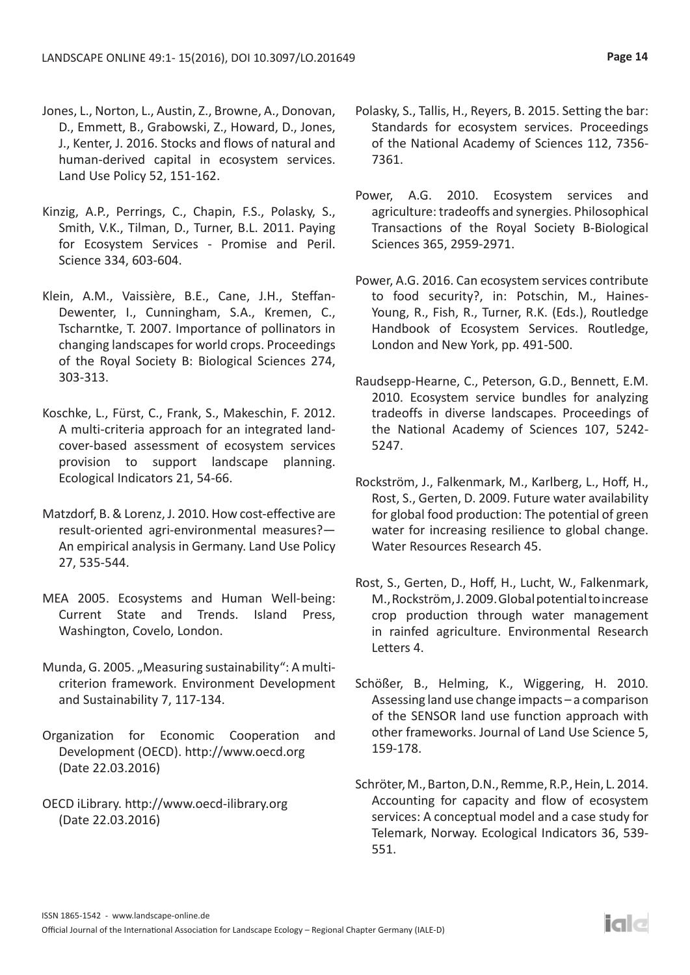- Jones, L., Norton, L., Austin, Z., Browne, A., Donovan, D., Emmett, B., Grabowski, Z., Howard, D., Jones, J., Kenter, J. 2016. Stocks and flows of natural and human-derived capital in ecosystem services. Land Use Policy 52, 151-162.
- Kinzig, A.P., Perrings, C., Chapin, F.S., Polasky, S., Smith, V.K., Tilman, D., Turner, B.L. 2011. Paying for Ecosystem Services - Promise and Peril. Science 334, 603-604.
- Klein, A.M., Vaissière, B.E., Cane, J.H., Steffan-Dewenter, I., Cunningham, S.A., Kremen, C., Tscharntke, T. 2007. Importance of pollinators in changing landscapes for world crops. Proceedings of the Royal Society B: Biological Sciences 274, 303-313.
- Koschke, L., Fürst, C., Frank, S., Makeschin, F. 2012. A multi-criteria approach for an integrated landcover-based assessment of ecosystem services provision to support landscape planning. Ecological Indicators 21, 54-66.
- Matzdorf, B. & Lorenz, J. 2010. How cost-effective are result-oriented agri-environmental measures?— An empirical analysis in Germany. Land Use Policy 27, 535-544.
- MEA 2005. Ecosystems and Human Well-being: Current State and Trends. Island Press, Washington, Covelo, London.
- Munda, G. 2005. "Measuring sustainability": A multicriterion framework. Environment Development and Sustainability 7, 117-134.
- Organization for Economic Cooperation and Development (OECD). http://www.oecd.org (Date 22.03.2016)
- OECD iLibrary. http://www.oecd-ilibrary.org (Date 22.03.2016)
- Polasky, S., Tallis, H., Reyers, B. 2015. Setting the bar: Standards for ecosystem services. Proceedings of the National Academy of Sciences 112, 7356- 7361.
- Power, A.G. 2010. Ecosystem services and agriculture: tradeoffs and synergies. Philosophical Transactions of the Royal Society B-Biological Sciences 365, 2959-2971.
- Power, A.G. 2016. Can ecosystem services contribute to food security?, in: Potschin, M., Haines-Young, R., Fish, R., Turner, R.K. (Eds.), Routledge Handbook of Ecosystem Services. Routledge, London and New York, pp. 491-500.
- Raudsepp-Hearne, C., Peterson, G.D., Bennett, E.M. 2010. Ecosystem service bundles for analyzing tradeoffs in diverse landscapes. Proceedings of the National Academy of Sciences 107, 5242- 5247.
- Rockström, J., Falkenmark, M., Karlberg, L., Hoff, H., Rost, S., Gerten, D. 2009. Future water availability for global food production: The potential of green water for increasing resilience to global change. Water Resources Research 45.
- Rost, S., Gerten, D., Hoff, H., Lucht, W., Falkenmark, M., Rockström, J. 2009. Global potential to increase crop production through water management in rainfed agriculture. Environmental Research Letters 4.
- Schößer, B., Helming, K., Wiggering, H. 2010. Assessing land use change impacts – a comparison of the SENSOR land use function approach with other frameworks. Journal of Land Use Science 5, 159-178.
- Schröter, M., Barton, D.N., Remme, R.P., Hein, L. 2014. Accounting for capacity and flow of ecosystem services: A conceptual model and a case study for Telemark, Norway. Ecological Indicators 36, 539- 551.